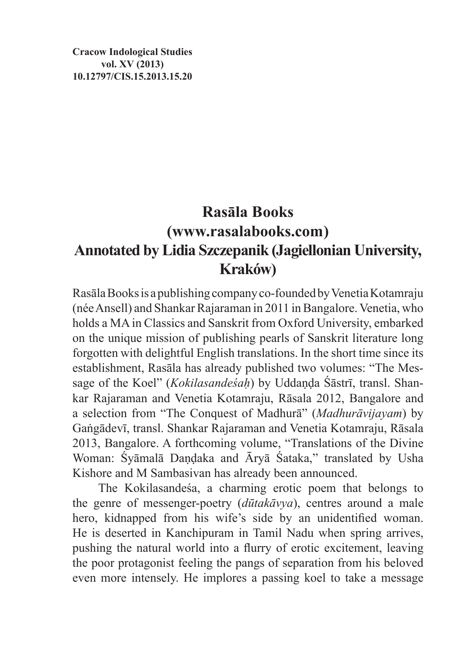**Cracow Indological Studies vol. XV (2013) 10.12797/CIS.15.2013.15.20**

## **Rasāla Books (www.rasalabooks.com) Annotated by Lidia Szczepanik (Jagiellonian University, Kraków)**

Rasāla Books is apublishing company co-founded by Venetia Kotamraju (née Ansell) and Shankar Rajaraman in 2011 inBangalore. Venetia, who holds a MA in Classics and Sanskrit from Oxford University, embarked on the unique mission of publishing pearls of Sanskrit literature long forgotten with delightful English translations. In the short time since its establishment, Rasāla has already published two volumes: "The Message of the Koel" (*Kokilasandeśaḥ*) by Uddaṇḍa Śāstrī, transl. Shankar Rajaraman and Venetia Kotamraju, Rāsala 2012, Bangalore and a selection from "The Conquest of Madhurā" (*Madhurāvijayam*) by Gaṅgādevī, transl. Shankar Rajaraman and Venetia Kotamraju, Rāsala 2013, Bangalore. A forthcoming volume, "Translations of the Divine Woman: Śyāmalā Daṇḍaka and Āryā Śataka," translated by Usha Kishore and M Sambasivan has already been announced.

The Kokilasandeśa, a charming erotic poem that belongs to the genre of messenger-poetry (*dūtakāvya*), centres around a male hero, kidnapped from his wife's side by an unidentified woman. He is deserted in Kanchipuram in Tamil Nadu when spring arrives, pushing the natural world into a flurry of erotic excitement, leaving the poor protagonist feeling the pangs of separation from his beloved even more intensely. He implores a passing koel to take a message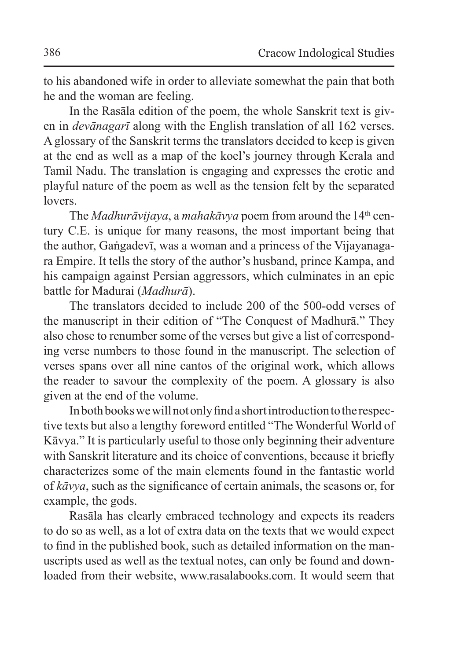to his abandoned wife in order to alleviate somewhat the pain that both he and the woman are feeling.

In the Rasāla edition of the poem, the whole Sanskrit text is given in *devānagarī* along with the English translation of all 162 verses. A glossary of the Sanskrit terms the translators decided to keep is given at the end as well as a map of the koel's journey through Kerala and Tamil Nadu. The translation is engaging and expresses the erotic and playful nature of the poem as well as the tension felt by the separated lovers.

The *Madhurāvijaya*, a *mahakāvya* poem from around the 14th century C.E. is unique for many reasons, the most important being that the author, Gaṅgadevī, was a woman and a princess of the Vijayanagara Empire. It tells the story of the author's husband, prince Kampa, and his campaign against Persian aggressors, which culminates in an epic battle for Madurai (*Madhurā*).

The translators decided to include 200 of the 500-odd verses of the manuscript in their edition of "The Conquest of Madhurā." They also chose to renumber some of the verses but give a list of corresponding verse numbers to those found in the manuscript. The selection of verses spans over all nine cantos of the original work, which allows the reader to savour the complexity of the poem. A glossary is also given at the end of the volume.

In both books wewill not only find a short introduction tothe respective texts but also a lengthy foreword entitled "The Wonderful World of Kāvya." It is particularly useful to those only beginning their adventure with Sanskrit literature and its choice of conventions, because it briefly characterizes some of the main elements found in the fantastic world of *kāvya*, such as the significance of certain animals, the seasons or, for example, the gods.

Rasāla has clearly embraced technology and expects its readers to do so as well, as a lot of extra data on the texts that we would expect to find in the published book, such as detailed information on the manuscripts used as well as the textual notes, can only be found and downloaded from their website, www.rasalabooks.com. It would seem that